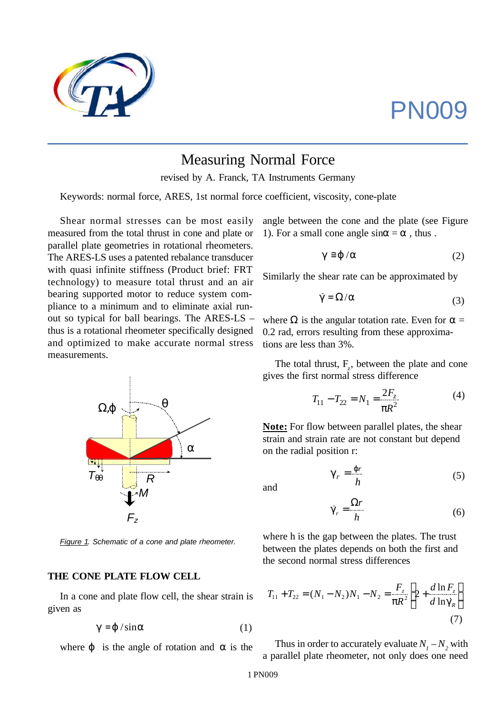# PN009



# Measuring Normal Force

revised by A. Franck, TA Instruments Germany

Keywords: normal force, ARES, 1st normal force coefficient, viscosity, cone-plate

Shear normal stresses can be most easily measured from the total thrust in cone and plate or parallel plate geometries in rotational rheometers. The ARES-LS uses a patented rebalance transducer with quasi infinite stiffness (Product brief: FRT technology) to measure total thrust and an air bearing supported motor to reduce system compliance to a minimum and to eliminate axial runout so typical for ball bearings. The ARES-LS – thus is a rotational rheometer specifically designed and optimized to make accurate normal stress measurements.



*Figure 1. Schematic of a cone and plate rheometer.*

#### **THE CONE PLATE FLOW CELL**

In a cone and plate flow cell, the shear strain is given as

$$
g = j / \sin a \tag{1}
$$

where  $j$  is the angle of rotation and  $a$  is the

angle between the cone and the plate (see Figure 1). For a small cone angle  $\sin a = a$ , thus.

$$
g \cong j / a \tag{2}
$$

Similarly the shear rate can be approximated by

$$
\dot{g} = \Omega/a \tag{3}
$$

where  $\Omega$  is the angular totation rate. Even for  $\alpha =$ 0.2 rad, errors resulting from these approximations are less than 3%.

The total thrust,  $F_z$ , between the plate and cone gives the first normal stress difference

$$
T_{11} - T_{22} = N_1 = \frac{2F_z}{pR^2}
$$
 (4)

**Note:** For flow between parallel plates, the shear strain and strain rate are not constant but depend on the radial position r:

$$
\mathbf{g}_r = \frac{\mathbf{j}r}{h} \tag{5}
$$

and

$$
\dot{\mathbf{g}}_{r} = \frac{\Omega r}{h} \tag{6}
$$

where h is the gap between the plates. The trust between the plates depends on both the first and the second normal stress differences

$$
T_{11} + T_{22} = (N_1 - N_2)N_1 - N_2 = \frac{F_z}{pR^2} \left[ 2 + \frac{d \ln F_z}{d \ln \dot{g}_R} \right]
$$
\n(7)

Thus in order to accurately evaluate  $N_1 - N_2$  with a parallel plate rheometer, not only does one need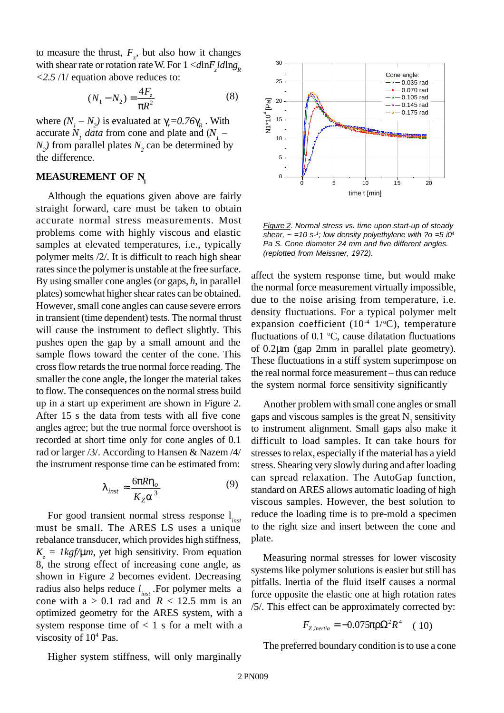to measure the thrust,  $F_z$ , but also how it changes with shear rate or rotation rate W. For  $1 < d\ln F_z l d\ln g_R$ *<2.5* /1/ equation above reduces to:

$$
(N_1 - N_2) = \frac{4F_z}{pR^2}
$$
 (8)

where  $(N_1 - N_2)$  is evaluated at  $\gamma_r = 0.76$ **g**<sub>R</sub>. With accurate  $N_i$  *data* from cone and plate and  $(N_i N_2$ ) from parallel plates  $N_2$  can be determined by the difference.

#### **MEASUREMENT OF N<sup>1</sup>**

Although the equations given above are fairly straight forward, care must be taken to obtain accurate normal stress measurements. Most problems come with highly viscous and elastic samples at elevated temperatures, i.e., typically polymer melts /2/. It is difficult to reach high shear rates since the polymer is unstable at the free surface. By using smaller cone angles (or gaps, *h,* in parallel plates) somewhat higher shear rates can be obtained. However, small cone angles can cause severe errors in transient (time dependent) tests. The normal thrust will cause the instrument to deflect slightly. This pushes open the gap by a small amount and the sample flows toward the center of the cone. This cross flow retards the true normal force reading. The smaller the cone angle, the longer the material takes to flow. The consequences on the normal stress build up in a start up experiment are shown in Figure 2. After 15 s the data from tests with all five cone angles agree; but the true normal force overshoot is recorded at short time only for cone angles of 0.1 rad or larger /3/. According to Hansen & Nazem /4/ the instrument response time can be estimated from:

$$
I_{inst} \approx \frac{6pRh_o}{K_Z a^3} \tag{9}
$$

For good transient normal stress response l*inst* must be small. The ARES LS uses a unique rebalance transducer, which provides high stiffness,  $K_z = \frac{1}{g/mm}$ , yet high sensitivity. From equation 8, the strong effect of increasing cone angle, as shown in Figure 2 becomes evident. Decreasing radius also helps reduce  $l_{inst}$ . For polymer melts a cone with  $a > 0.1$  rad and  $R < 12.5$  mm is an optimized geometry for the ARES system, with a system response time of  $< 1$  s for a melt with a viscosity of  $10<sup>4</sup>$  Pas.



*Figure 2. Normal stress vs. time upon start-up of steady* shear,  $\sim$  =10 s<sup>-1</sup>; low density polyethylene with ?o =5 i0<sup>4</sup> *Pa S. Cone diameter 24 mm and five different angles. (replotted from Meissner, 1972).*

affect the system response time, but would make the normal force measurement virtually impossible, due to the noise arising from temperature, i.e. density fluctuations. For a typical polymer melt expansion coefficient  $(10^{-4} \text{ 1}/^{\circ}\text{C})$ , temperature fluctuations of 0.1  $\degree$ C, cause dilatation fluctuations of 0.2μm (gap 2mm in parallel plate geometry). These fluctuations in a stiff system superimpose on the real normal force measurement – thus can reduce the system normal force sensitivity significantly

Another problem with small cone angles or small gaps and viscous samples is the great  $N_1$  sensitivity to instrument alignment. Small gaps also make it difficult to load samples. It can take hours for stresses to relax, especially if the material has a yield stress. Shearing very slowly during and after loading can spread relaxation. The AutoGap function, standard on ARES allows automatic loading of high viscous samples. However, the best solution to reduce the loading time is to pre-mold a specimen to the right size and insert between the cone and plate.

Measuring normal stresses for lower viscosity systems like polymer solutions is easier but still has pitfalls. lnertia of the fluid itself causes a normal force opposite the elastic one at high rotation rates /5/. This effect can be approximately corrected by:

$$
F_{Z,inertia} = -0.075 \text{pr}\Omega^2 R^4 \quad (10)
$$

The preferred boundary condition is to use a cone

Higher system stiffness, will only marginally